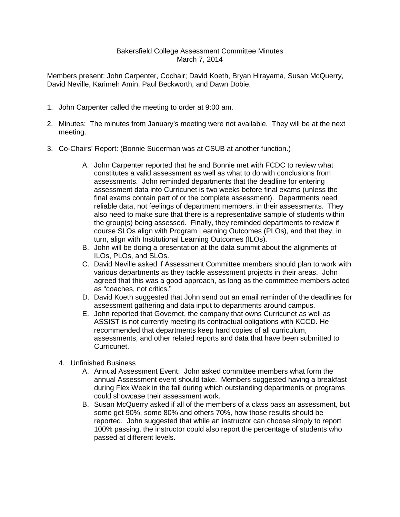## Bakersfield College Assessment Committee Minutes March 7, 2014

Members present: John Carpenter, Cochair; David Koeth, Bryan Hirayama, Susan McQuerry, David Neville, Karimeh Amin, Paul Beckworth, and Dawn Dobie.

- 1. John Carpenter called the meeting to order at 9:00 am.
- 2. Minutes: The minutes from January's meeting were not available. They will be at the next meeting.
- 3. Co-Chairs' Report: (Bonnie Suderman was at CSUB at another function.)
	- A. John Carpenter reported that he and Bonnie met with FCDC to review what constitutes a valid assessment as well as what to do with conclusions from assessments. John reminded departments that the deadline for entering assessment data into Curricunet is two weeks before final exams (unless the final exams contain part of or the complete assessment). Departments need reliable data, not feelings of department members, in their assessments. They also need to make sure that there is a representative sample of students within the group(s) being assessed. Finally, they reminded departments to review if course SLOs align with Program Learning Outcomes (PLOs), and that they, in turn, align with Institutional Learning Outcomes (ILOs).
	- B. John will be doing a presentation at the data summit about the alignments of ILOs, PLOs, and SLOs.
	- C. David Neville asked if Assessment Committee members should plan to work with various departments as they tackle assessment projects in their areas. John agreed that this was a good approach, as long as the committee members acted as "coaches, not critics."
	- D. David Koeth suggested that John send out an email reminder of the deadlines for assessment gathering and data input to departments around campus.
	- E. John reported that Governet, the company that owns Curricunet as well as ASSIST is not currently meeting its contractual obligations with KCCD. He recommended that departments keep hard copies of all curriculum, assessments, and other related reports and data that have been submitted to Curricunet.
	- 4. Unfinished Business
		- A. Annual Assessment Event: John asked committee members what form the annual Assessment event should take. Members suggested having a breakfast during Flex Week in the fall during which outstanding departments or programs could showcase their assessment work.
		- B. Susan McQuerry asked if all of the members of a class pass an assessment, but some get 90%, some 80% and others 70%, how those results should be reported. John suggested that while an instructor can choose simply to report 100% passing, the instructor could also report the percentage of students who passed at different levels.